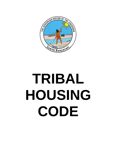

# **TRIBAL HOUSING CODE**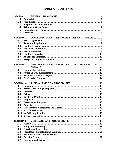# **TABLE OF CONTENTS**

| <b>SECTION 1</b>   |  |                                                         |  |  |
|--------------------|--|---------------------------------------------------------|--|--|
| $§1 - 1$           |  |                                                         |  |  |
| $$1-2$             |  |                                                         |  |  |
| $§1-3$             |  |                                                         |  |  |
| $§1 - 4$           |  |                                                         |  |  |
| $$1-5$             |  |                                                         |  |  |
| $$1-6$             |  |                                                         |  |  |
|                    |  |                                                         |  |  |
| <b>SECTION 2</b>   |  | <b>LANDLORD/TENANT RESPONSIBILITIES AND REMEDIES 6</b>  |  |  |
| $§2 - 1$           |  |                                                         |  |  |
| $§2 - 2$           |  |                                                         |  |  |
| $§2 - 3$           |  |                                                         |  |  |
| $§2 - 4$           |  |                                                         |  |  |
| $§2 - 5$           |  |                                                         |  |  |
| $§2 - 6$           |  |                                                         |  |  |
| $§2 - 7$           |  |                                                         |  |  |
| $§2 - 8$           |  |                                                         |  |  |
|                    |  |                                                         |  |  |
| <b>SECTION 3</b>   |  | <b>GROUNDS FOR EVICTION/NOTICE TO QUIT/PRE-EVICTION</b> |  |  |
|                    |  |                                                         |  |  |
| $§3-1$             |  |                                                         |  |  |
| $§3-2$             |  |                                                         |  |  |
| $§3 - 3$           |  |                                                         |  |  |
| $§3-4$             |  |                                                         |  |  |
|                    |  |                                                         |  |  |
| <b>SECTION 4</b>   |  |                                                         |  |  |
| $§4-1$             |  |                                                         |  |  |
| $§4-2$             |  |                                                         |  |  |
| $§4-3$             |  |                                                         |  |  |
| $§4-4$             |  |                                                         |  |  |
| $§4-5$             |  |                                                         |  |  |
| $§4-6$             |  |                                                         |  |  |
| $§4-7$             |  |                                                         |  |  |
| $§4-8$             |  |                                                         |  |  |
| $§4-9$             |  |                                                         |  |  |
|                    |  |                                                         |  |  |
|                    |  |                                                         |  |  |
|                    |  |                                                         |  |  |
| <b>SECTION 5</b>   |  |                                                         |  |  |
| $§ 5 - 1$          |  |                                                         |  |  |
| $§5-2$             |  |                                                         |  |  |
|                    |  |                                                         |  |  |
|                    |  |                                                         |  |  |
| $§5-3$             |  |                                                         |  |  |
| $§5-4$             |  |                                                         |  |  |
| $§5 - 5$<br>$§5-6$ |  |                                                         |  |  |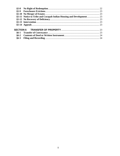| $$5-8$       |  |  |
|--------------|--|--|
| $85-9$       |  |  |
|              |  |  |
|              |  |  |
|              |  |  |
|              |  |  |
|              |  |  |
|              |  |  |
| $\delta$ 6-1 |  |  |
| $§6-2$       |  |  |
| $§6-3$       |  |  |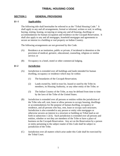# **TRIBAL HOUSING CODE**

# <span id="page-3-0"></span>**SECTION 1 GENERAL PROVISIONS**

# **§1–1 Applicability**

The following title shall hereinafter be referred to as the "Tribal Housing Code." It shall apply to any and all arrangements, formal or informal, written or oral, in selling, buying, renting, leasing, occupying or using any and all housing, dwellings or accommodations for human occupation and residence on the Cocopah Reservation. It shall also apply to any and all mortgages, leasehold mortgages and agreements to secure an interest in a building or real property on Indian Country.

The following arrangements are not governed by this Code.

- (A) Residence at an institution, public or private, if incidental to detention or the provision of medical, geriatric, educational, counseling, religious or similar service; or
- (B) Occupancy in a hotel, motel or other commercial lodging.

# **§1-2 Jurisdiction**

- (A) Jurisdiction is extended over all buildings and lands intended for human dwelling, occupancy or residence which may lie within:
	- (1) The boundaries of the Cocopah Reservation;
	- (2) Lands owned by, held in trust for, leased or used by the Tribe its members, its Housing Authority, or any other entity of the Tribe; or
	- (3) The Indian Country of the Tribe, as may be defined from time to time by the laws of the Tribe of the United States.
- (B) Jurisdiction is extended over all persons or entities within the jurisdiction of the Tribe who sell, rent, lease or allow persons to occupy housing, dwellings or accommodations for the purpose of human dwelling, occupancy or residence, and all persons who buy, rent, lease or occupy such structures. Jurisdiction is also extended to any person or entity who mortgages or otherwise secures an interest in a structure or building on Tribal land as set forth in subsection 1-2(A). Such jurisdiction is extended over all persons and entities, whether or not they are members of the Tribe or have a place of business on the Cocopah Reservation. Any act on the Reservation by a person or entity pertaining to the subject matter of this Code shall be subject to jurisdiction of the Tribe.
- (C) Jurisdiction over all matters which arise under this Code shall be exercised by the Tribal Court.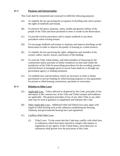# <span id="page-4-0"></span>**§1-3 Purposes and Interpretation**

This Code shall be interpreted and construed to fulfill the following purposes:

- (A) To simplify the law governing the occupation of dwelling units and to protect the rights of landlords and tenants.
- (B) To preserve the peace, harmony, safety, health and general welfare of the people of the Tribe and those permitted to enter or reside on the Reservation.
- (C) To provide eviction procedures and to require landlords to use those procedures when evicting tenants.
- (D) To encourage landlords and tenants to maintain and improve dwellings on the Reservation in order to improve the quality of housing as a tribal resource.
- (E) To simplify the law governing the rights, obligations and remedies of the owners, sellers, buyers, lessors, and lessees of the building.
- (F) To avail the Tribe, tribal entities, and tribal members of financing for the construction and/or purchase of family residences on trust land within the jurisdiction of the Tribe by prescribing procedures for the recording, priority and foreclosure of mortgages given to secure loans made by or through any government agency or lending institution.
- (G) To establish laws and procedures which are necessary in order to obtain government or private funding for tribal housing programs or loan guarantees for private or tribal housing construction, purchases or renovation.

#### **§1-4 Relation to Other Laws**

- (A) Applicable Law. Unless affected or displaced by this Code, principles of law and equity in the common law of the Tribe and Tribal customs and traditions are applicable. The general principles of law of any other Tribe or any other state may be used as guidance to supplement and interpret this Code.
- (B) Other Applicable Laws. Additional tribal and federal laws may apply with regard to tribal housing such as the ordinance establishing the Housing Authority and governmental housing laws and regulations.
- (C) Conflicts With Other Laws
	- (1) Tribal Laws: To the extent that this Code may conflict with tribal laws or ordinances which have been enacted to comply with statutes or regulations of any agency of the United States, such tribal laws or ordinances shall govern over the provisions of this Code.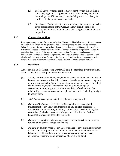- <span id="page-5-0"></span>(2) Federal Laws: Where a conflict may appear between this Code and any statue, regulation or agreement of the United States, the federal law shall govern if it has specific applicability and if it is clearly in conflict with the provisions of this Code.
- (3) State Laws: To the extent that the laws of any state may be applicable to the subject matter of this Code, such laws shall be read to be advisory and not directly binding and shall not govern the relations of the parties.

# **§1-5 Computation of Time**

In computing any period of time prescribed or allowed by this Code the day of the act, event, or default from which the designated period of time begins to run shall not be included. When the period of time prescribed or allowed is less than eleven (11) days, intermediate Saturdays, Sundays and legal holidays shall not be included in the computation. When the period of time is eleven (11) days or more, intermediate Saturdays, Sundays and legal holidays shall be included in the computation. The last day of the period so computed shall also be included unless it is a Saturday, Sunday or legal holiday, in which event the period runs until the end of the next day which is not a Saturday, Sunday, or legal holiday.

# **§1-6 Definitions**

As used in this Code, the following words will have the meanings given them in this Section unless the context plainly requires otherwise:

- (A) *Action, suit or lawsuit, claim, complaint, or defense* shall include any dispute between persons or entities which relates to the sale, rental, use or occupancy of any housing, dwelling or accommodation for human occupancy, including claims for the payment of monies for such housing, dwellings or accommodations, damages to such units, condition of such units or the relationships between owners and occupiers of such units, including the right to occupy them.
- (B) *Adult Person* is any person eighteen (18) years of age or older.
- (C) *Borrower/Mortgagor* is the Tribe, the Cocopah Indian Housing and Development or any individual Indians(s) or any heirs(s), successor(s),  $e$ xecutor(s), administrator(s) or assign(s) of the Tribe or such Indians(s) or non-Indian(s) who has executed a Mortgage as defined in this Code or a Leasehold Mortgage as defined in this Code.
- (D) *Building* is a structure and any appurtenances or additions thereto, designed for habitation, shelter, storage and the like.
- (E) *Building or housing codes* are any law, ordinance or governmental regulation of the Tribe or an agency of the United States which deals with fitness for habitation, health conditions or the safety, construction maintenance, operation, occupancy, use or appearance of any dwelling unit.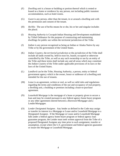- (F) *Dwelling unit* is a house or building or portion thereof which is rented or leased as a home or residence by any person, not including public transient accommodation, such as hotel rooms.
- (G) *Guest* is any person, other than the tenant, in or around a dwelling unit with the permission and consent of the tenant.
- (H) *He/His*: The use of he/his means he or she, his or her and singular includes the plural.
- (I) *Housing Authority* is Cocopah Indian Housing and Development established by Tribal Ordinance for the purpose of constructing and maintaining dwellings for public use within the territorial jurisdiction of the Tribe.
- (J) *Indian* is any person recognized as being an Indian or Alaska Native by any Tribe or by the government of the United States.
- (K) *Indian Country*, the *territorial jurisdiction* or the *jurisdiction* of the Tribe shall include all lands owned by, held in trust for, leased, occupied or otherwise controlled by the Tribe, as well as any such ownership or use by an entity of the Tribe and these terms shall include any and all areas which may constitute the *Indian Country* of the Tribe under applicable provisions of its laws or the laws of the United States.
- (L) *Landlord* can be the Tribe, Housing Authority, a person, entity or federal government agency which is the owner, lessor or sublessor of a dwelling unit intended for the use of tenants.
- (M) *Lease* is an agreement, written or oral, as well as valid rules and regulations regarding the terms and conditions of the use and occupancy of real property, a dwelling unit, a building or premises including a lease-to-purchase agreement.
- (N) *Leasehold Mortgage* is the mortgage of a lease or property given to secure a loan and may be created pursuant to any federal agency home buyer program or any other agreement entered between a Borrower/Mortgager and a Lender/Mortgagee.
- (O) *Lender Designated Assignee*. Any lender as defined in the Code may assign or transfer its interest in a Mortgage or Lease and/or Leasehold Mortgage to a Designated Assignee. If the Mortgage or Lease and/or Leasehold Mortgage falls under a federal agency home buyer program or federal agency loan guarantee program, the Lender must seek written approval from the Tribe of a proposed Designated Assignee any time prior to such assignment, transfer or assumption, except where the U.S. government and federal agencies guarantee or insure the Mortgage or Leasehold Mortgage.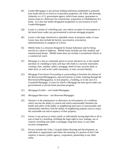- (P) *Lender/Mortgagee* is any private lending institution established to primarily loan funds and not to invest in or purchase properties, the Tribe, the Housing Authority or a U.S. government agency which loans money, guarantees or insures loans to a Borrower for construction, acquisition or rehabilitation of a home. It is also any lender designated assignee(s) or successor(s) of such Lender/Mortgagee.
- (Q) *Lessee* is a tenant of a dwelling unit, user and/or occupier of real property or the home buyer under any governmental or private mortgage program.
- (R) *Lessor* is the legal, beneficial or equitable owner of property under a Lease. Lessor may also include the heir(s), successor(s), executor(s), administrators(s) or assign(s) of a lessor.
- (S) *Mobile home* is a structure designed for human habitation and for being moved on a street or highway. Mobile home includes pre-fab, modular and manufactured homes. Mobile home does not include a recreational vehicle or a commercial coach.
- (T) *Mortgage* is a lien as commonly given to secure advances on, or the unpaid purchase of a building or land, and may refer both to a security instrument creating a lien, whether called a mortgage, deed of trust, security deed, or other term, as well as the credit instrument, or note, secured thereby.
- (U) *Mortgage Foreclosure Proceeding* is a proceeding to foreclose the interest of the Borrower(s)/Mortgagor(s), and each person or entity claiming through the Borrower(s)/Mortgagor(s), in real property, a building, or in the case of a Leasehold Mortgage, a Lease for which a Mortgage has been given under any governmental or private home purchase program.
- (V) *Mortgagee/Lender* see Lender/Mortgagee.
- (W) *Mortgagor/Borrower* see Borrower/Mortgagor.
- (X) *Nuisance* is the maintenance or allowance on real property of a condition which one has the ability to control and which unreasonably threatens the health and safety of the public or neighboring land users or unreasonably and substantially interferes with the ability of neighboring property users to enjoy the reasonable use and occupancy of their property.
- (Y) *Owner* is any person or entity jointly or individually having legal title to all or part of land or a dwelling, including the legal right to own, manage, use or control a dwelling unit under a mortgage, long-term lease, or any other security arrangement.
- (Z) *Person* includes the Tribe, Cocopah Indian Housing and Development, an individual or organization and where the meaning of a portion of this Code requires, it means a public agency, corporation, partnership or any other entity.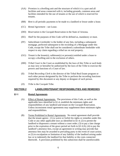- <span id="page-8-0"></span>(AA) *Premises* is a dwelling unit and the structure of which it is a part and all facilities and areas connected with it, including grounds, common areas and facilities intended for the use of tenants or the use of which is reserved for tenants.
- (BB) *Rent* is all periodic payments to be made to a landlord or lessor under a lease.
- (CC) *Rental Agreement* see Lease.
- (DD) *Reservation* is the Cocopah Reservation in the State of Arizona.
- (EE) *Shall* for the purposes of this Code will be defined as, mandatory or must.
- (FF) *Subordinate Lienholder* is the holder of any lien, including a subsequent mortgage, perfected subsequent to the recording of a Mortgage under this Code, except the Tribe shall not be considered a subordinate lienholder with respect to any claim regarding a tribal tax on real property.
- (GG) *Tenant* is the lessee(s), sublessee(s) or person(s) entitled under a lease to occupy a dwelling unit to the exclusion of others.
- (HH) *Tribal Court* is the Court as established by the laws of this Tribe or such body as may now or hereafter be authorized by the laws of the Tribe to exercise the powers and functions of a Court of law.
- (II) *Tribal Recording Clerk* is the director of the Tribal Real Estate program or such other person designated by the Tribe to perform the recording functions required by this document or any deputy or designee of such person.
- (JJ) *Tribe* is the Cocopah Tribe.

# **SECTION 2 LANDLORD/TENANT RESPONSIBILITIES AND REMEDIES**

#### **§2-1 Rental Agreements**

- (A) Effect of Rental Agreements. The provisions of this Code, as well as the applicable laws identified in §1-4, establish the minimum rights and responsibilities of any landlord and tenant on the Cocopah Reservation. Unless inconsistent rental agreements may supplement these minimum rights and responsibilities.
- (B) Terms Prohibited in Rental Agreements. No rental agreement shall provide that the tenant agrees: (1) to waive or forfeit his rights or remedies under this Code or any other applicable laws as identified in §1-4; (2) to permit the landlord to dispossess a tenant without a court order; (3) to pay a late charge prior to the expiration of the grace period set forth in  $\S 3-1(A)$ ; (4) to pay the landlord's attorneys fees, except an agreement in writing may provide that attorneys fees may be awarded to prevailing party in the event of court action; or (5) to exculpation or limitation of any liability of the landlord arising under law or to indemnify the landlord for that liability or the costs connected therewith. A provision prohibited by this subsection shall be unenforceable.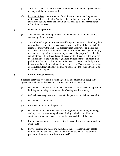- <span id="page-9-0"></span>(C) Term of Tenancy. In the absence of a definite term in a rental agreement, the tenancy shall be month-to-month.
- (D) Payment of Rent. In the absence of definite terms in the rental agreement, rent is payable at the landlord's office, place of business or residence. In the absence of definite terms, the amount of rent shall be the fair market rental value of the premises.

#### **§2-2 Rules and Regulations**

- (A) The landlord may promulgate rules and regulations regarding the use and occupancy of the premises.
- (B) Such rules and regulations are enforceable against the tenant only of: (1) their purpose is to promote the convenience, safety or welfare of the tenants in the premises, preserve the landlord's property from abusive use or make a fair distribution of services and facilities held out for all the tenants generally: (2) the rules and regulations are reasonably related to the purpose for which they are adopted; (3) the rules and regulations apply to all tenants in the premises in fair manner; (4) the rules and regulations are sufficiently explicit in their prohibition, direction or limitations of the tenant's conduct and fairly inform him of what he shall, or shall not do, to comply; and (5) the tenants has notice of the rules and regulations at the time he enters into the rental agreement or when they are adopted.

#### **§2-3 Landlord Responsibilities**

Except as otherwise provided in a rental agreement or a mutual help occupancy agreement, each landlord subject to the provisions of this Code shall:

- (A) Maintain the premises in a habitable condition in compliance with applicable building and housing codes materially affecting health and safety.
- (B) Make all necessary repairs and maintain the premises in a habitable condition.
- (C) Maintain the common areas.
- (D) Ensure tenant access to the premises.
- (E) Maintain in good condition and safe working order all electrical, plumbing, sanitary, heating, ventilating, air-conditioning, and other facilities and appliances, where such matters are not the responsibility of the tenant.
- (F) Provide and maintain receptacles for the disposal of ash, garbage, rubbish, and other waste.
- (G) Provide running water, hot water, and heat in accordance with applicable building and housing codes, except to the extent the tenant is required to provide such services or utilities for himself.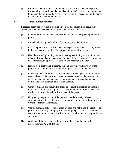<span id="page-10-0"></span>(H) Provide the name, address, and telephone number of the person responsible for receiving rent notices and demands under this Code, the person authorized to manage the premises, the owner of the premises or his agent, and the person responsible for making the repairs.

#### **§2-4 Tenant Responsibilities**

Expect as otherwise provided in a rental agreement or a mutual help occupancy agreement, each tenant subject to the provisions of this Code shall:

- (A) Pay rent without demand or notice at the time and place agreed upon by the parties.
- (B) Immediately notify the landlord of any damages to the premises.
- (C) Keep the premises reasonably clean and dispose of all ashes, garbage, rubbish, junk and abandoned vehicles in a proper, sanitary and safe manner.
- (D) Use all electrical, plumbing, sanitary, heating, ventilating, air-condition, and other facilities and appliances which are part of the premises and the property of the landlord, in a proper, safe sanitary and reasonable manner.
- (E) Refrain from destroying, defacing, damaging or removing any part of the premises or common areas and to require guests to act in like manner.
- (F) Pay reasonable charges and cost for the repair of damages, other than normal wear and tear, to the premises or common areas caused by the tenant or his guests, or to repair such damages as required under the rental agreement, within thirty (30) calendar days of such damage.
- (G) Conduct himself, and require his guests to conduct themselves, in a manner which does not disturb the quiet and peaceful enjoyment of other tenants or residents or cause a breach or disturbance of the peace.
- (H) Not give up the possession of the premises to others, assign a lease arrangement or sublease the premises or any portion thereof without the prior written consent of the landlord.
- (I) Use the premises only for residential purposes, and not to use the premises or permit its use for any other purpose, including illegal conduct or any other activity which may harm the physical or social environment of the premises or area around it.
- (J) Abide by all the rules and regulations promulgated by the landlord in accordance with §2-2 of this Code.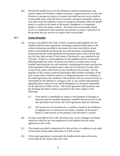<span id="page-11-0"></span>(K) Provide the landlord access to the Premises to perform maintenance and repairs, inspect the Premises, supply necessary or agreed services, or show the Premises to prospective buyers or tenants, provided that such access shall be at reasonable times when the tenant is present, and upon reasonable written or oral notice from the landlord, except in emergency situations where the health, safety or welfare of the tenant or the tenant's neighbors is in immediate danger or where the tenant consents. No tenant who unreasonably denies access to a landlord for these purposes may pursue an action or grievance on the grounds that any services or repairs were not provided.

#### **§2-5 Tenant Remedies**

- (A) Except as provided in the Code, if there is material noncompliance by the landlord with the rental agreement, including a material falsification of the written information provided to the tenant, the tenant may deliver actual notice to the landlord specifying the acts and omissions constituting the breach and that the rental agreement will terminate upon a date not less than ten (10) days after receipt of such notice if the breach is not remedied in ten (10) days. If there is a noncompliance by the landlord with §2-3 materially affecting health and safety, the tenant may deliver a written notice to the landlord specifying the acts and omissions constituting the breach and that the rental agreement will terminate upon a date not less than five (5) days after receipt of the notice if the breach is not remedied in five (5) days. For the purposes of this section, material falsification shall include availability of the unit, except when a holdover tenant is in illegal possession or in violation of the rental agreement, the condition of the premises and any current services as represented by the landlord in writing as well, as any written representation regarding future utility services and the designation of the party responsible for the payment of utility service. The rental agreement shall terminate and the dwelling unit shall vacated as provided in the notice subject to the following:
	- (1) If the breach is remediable by repairs or the payment of damages or otherwise and the landlord adequately remedies the breach prior to the date specified in the notice, the rental agreement shall not terminate.
	- (2) The tenant may not terminate for a condition caused by the deliberate or negligent act or omission of the tenant, a member of the tenant's family or other person on the premises with the tenant's consent.
- (B) Except as provided in this Code, the tenant may recover damages and obtain injunctive relief for any noncompliance by the landlord with the rental agreement or this Code.
- (C) The remedy provided in subsection B of this section is in addition to any right of the tenant arising under subsection A of this section.
- (D) If the rental agreement is terminated, the landlord shall return all security recoverable by the tenant under this Code.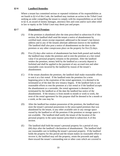# <span id="page-12-0"></span>**§2-6 Landlord Remedies**

Where a tenant has committed serious or repeated violations of his responsibilities as set fourth in §2-4 of this Code, the landlord may institute an action in the Tribal Court seeking an order compelling the tenant to comply with his responsibilities as set forth in §2-4, an award of money damages, attorneys fees and costs and/or such other relief in law or equity as the Tribal Court may deem just and proper.

#### **§2-7 Abandoned Premises**

- (A) If the premises is abandoned after the time prescribed in subsection H of this section, the landlord shall send the tenant a notice of abandonment by certified mail, return receipt requested, addressed to the tenant's last known address and to any of the tenants alternate addresses known to the landlord. The landlord shall also post a notice of abandonment on the door to the premises or any other conspicuous place on the property for five (5) days.
- (B) Five (5) days after notices of abandonment has been both posted and mailed, the landlord may retake the premises and re-rent the premises at a fair rental value if no personal property remains in the premises. After the landlord retakes the premises, money held by the landlord as a security deposit is forfeited and shall be applied to the payment of any accrued rent and other reasonable costs incurred by the landlord by reason of the tenant's abandonment.
- (C) If the tenant abandons the premises, the landlord shall make reasonable efforts to rent it at a fair rental. If the landlord rents the premises for a term beginning prior to the expiration of the rental agreement, it is deemed to be terminated as of the date the new tenancy begins. If the landlord fails to use reasonable efforts to rent the premises at a fair rental or if the landlord accepts the abandonment as a surrender, the rental agreement is deemed to be terminated by the landlord as of the date the landlord has notice of the abandonment. If the tenancy is from month to month or week to week, the term of the rental agreement for this purpose shall be deemed to be a month or a week, as the case may be.
- (D) After the landlord has retaken possession of the premises, the landlord may store the tenant's personal possessions in the unoccupied premises that was abandoned by the tenant, in any other available unit or any storage space owned by the landlord or off the premises if the premises or storage space is not available. The landlord shall notify the tenant of the location of the personal property in the same manner prescribed in subsection A of this section.
- (E) The landlord shall hold the tenant's personal property for a period of sixty (60) days after the landlord's declaration of abandonment. The landlord shall use reasonable care in holding the tenant's personal property. If the landlord holds the property for this period and the tenant makes no reasonable effort to recover it, the landlord may sell the property, retain the proceeds and apply them toward the tenant's outstanding rent or other costs which are covered in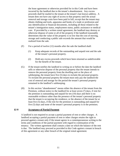<span id="page-13-0"></span>the lease agreement or otherwise provided for in this Code and have been incurred by the landlord due to the tenant's abandonment. Any excess proceeds shall be mailed to the tenant at the tenant's last known address. A tenant does not have any right of access to that property until the actual removal and storage costs have been paid in full, except that the tenant may obtain clothing and tools, apparatus and books of a trade or profession and any identification or financial documents, including all those related to the tenant's immigration status, employment status, public assistance or medical care. If provided by a written rental agreement, the landlord may destroy or otherwise dispose of some or all of the property if the landlord reasonably determines that the value of the property is so low that the cost of moving, storage and conducting a public sale exceeds the amount that would be realized from the sale.

- (F) For a period of twelve (12) months after the sale the landlord shall:
	- (1) Keep adequate records of the outstanding and unpaid rent and the sale of the tenant's personal property.
	- (2) Hold any excess proceeds which have been returned as undeliverable for the benefit of the tenant.
- (G) If the tenant notifies the landlord in writing on or before the date the landlord sells or otherwise dispose of the personal property that the tenant intends to remove the personal property from the dwelling unit or the place of safekeeping, the tenant have five (5) days to reclaim the personal property. To reclaim the personal property the tenant must only pay the landlord the cost of removal and storage for the period the tenant's personal property remained in the landlord's safekeeping.
- (H) In this section "abandonment" means either the absence of the tenant from the Premises, without notice to the landlord for at least seven (7) days, if rent for the premises is outstanding and unpaid for ten (10) days and there is no reasonable evidence other than the presence of the tenant's personal property that the tenant is occupying the residence, or the absence of the tenant for at least five (5) days, if the rent for the premises is outstanding and unpaid for five (5) days and none of the tenant's personal property is in the premises.

#### **§2-8 Acceptance of Partial Payment**

A landlord is not required to accept a partial payment of rent or other charges. A landlord accepting a partial payment of rent or other charges retains the right to proceed against a tenant only if the tenant agrees in a contemporaneous writing to the terms and conditions of the partial payment with regard to continuation of the tenancy. The written agreement shall contain a date on which the balance of the rent is due. The landlord may proceed as provided in this Code against a tenant in breach of this agreement or any other breach of the original rental agreement.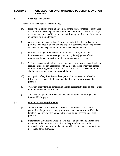# <span id="page-14-0"></span>**SECTION 3 GROUNDS FOR EVICTION/NOTICE TO QUIT/PRE-EVICTION OPTIONS**

#### **§3-1 Grounds for Eviction**

A tenant may be evicted for the following:

- (A) Nonpayment of rent under an agreement for the lease, purchase or occupation of premises when such payments are not made within ten (10) calendar days of the due date, or ten (10) calendar days following the first day of the month in a month-to-month tenancy.
- (B) Any arrearage in costs or damage which is thirty (30) calendar days or more past due. The receipt by the landlord of partial payments under an agreement shall not excuse the payment of any balance due upon demand.
- (C) Nuisance, damage or destruction to the premises, injury to person, interference with other tenants' peaceful and quiet enjoyment of their premises or damage or destruction to common areas and property.
- (D) Serious or repeated violations of the rental agreement, any reasonable rules or regulations adopted in accordance with §2-2 of this Code or any applicable building or housing codes. For the purposes of this Code repeated violations shall mean a second or an additional violation.
- (E) Occupation of any Premises without permission or consent of a landlord following any reasonable demand by a landlord or owner to vacate the premises.
- (F) Violation of any term or condition in a rental agreement which do not conflict with the provisions of this Code.
- (G) The entry of a judgment foreclosing a tenant's interest in a Mortgage or Leasehold Mortgage.

#### **§3-2 Notice To Quit Requirements**

- (A) When Notice to Quit is Required. When a landlord desires to obtain possession of a premises for any grounds or reason as set forth in §3-1, the landlord shall give written notice to the tenant to quit possession of such premises.
- (B) Statement of Grounds for Eviction. The notice to quit shall be addressed to the tenant of the premises and shall state the grounds or reasons for termination of the tenancy and the date by which the tenant is required to quit possession of the premises.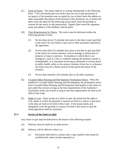- <span id="page-15-0"></span>(C) Form of Notice. The notice shall be in writing substantially in the following form: "I (or we) hereby give you notice that you are to quit possession or occupancy of the premises now occupied by you at (here insert the address or other reasonable description of the location of the premises), on, or before the (here insert the date) for the following reason (here insert the grounds or reasons for the notice to quit possession). Signed, (here insert the signature, name and address of the landlord, and the date).
- (D) Time Requirements for Notice. The notice must be delivered within the following periods of time:
	- (1) No less than seven (7) calendar days prior to the date to quit specified in the notice for any failure to pay rent or other payments required by the agreement.
	- (2) No less than three (3) calendar days prior to the date to quit specified in the notice for serious nuisance, serious damage or destruction of property or injury to persons. In situations in which there is an emergency, such as a fire or condition making the premises unsafe or uninhabitable, or in situations involving an imminent or serious threat to public health, safety or the serious violation of any law or ordinance the notice may be a shorter period of time given the nature of the situation.
	- (3) No less than fourteen (14) calendar days in all other situations.
- (E) Cocopah Indian Housing and Development Termination Notice. When the landlord is Cocopah Indian Housing and Development, the termination notice from Cocopah Indian Housing and Development shall qualify as the notice to quit under this section so long as the time requirements of the Authority's termination notice are at least as long as the time requirements set forth in §3- 3(D) of this Code.
- (F) Right to Cure. Upon receipt of a notice to quit, the tenant has the right to cure, repair or rectify the grounds or reasons set forth in a notice to quit prior to the time set forth in §3-2(D) of this Code. If the tenant timely and adequately cures the grounds or reasons set forth in the notice to quit the rental agreement shall be reinstated.

#### **§3-3 Service of the Notice to Quit**

Any notice to quit must be delivered to the tenant in the following manner:

- (A) Delivery must be made by an adult person.
- (B) Delivery will be effective when it is:
	- (1) Personally delivered to a tenant with a copy mailed to the tenant by certified mail, return receipt requested, or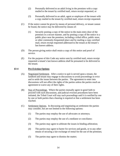- <span id="page-16-0"></span>(2) Personally delivered to an adult living in the premises with a copy mailed to the tenant by certified mail, return receipt requested, or
- (3) Personally delivered to an adult, agent or employee of the tenant with a copy mailed to the tenant by certified mail, return receipt requested.
- (C) If the notice cannot be given by means of personal delivery, or tenant cannot be found, the notice may be delivered by means of:
	- (1) Securely posting a copy of the notice to the main entry door of the premises in a secure manner, and by posting a copy of the notice in a public place near the premises, including a tribal office, public store, or other commonly-frequented place and by mailing a copy certified mail, return receipt requested addressed to the tenant at the tenant's last known address.
- (D) The person giving notice shall retain a copy of this notice and proof of service.
- (E) For the purpose of this Code any notice sent by certified mail, return receipt requested a tenant's last known address shall be presumed to be delivered to the tenant.

# **§3-4 Pre-Eviction Options**

- (A) Negotiated Settlement. After a notice to quit is served upon a tenant, the landlord and tenant may engage in discussions to avoid proceedings to evict and to settle the issues between the parties. The agreement to enter into discussions will not affect the rights of the parties unless the parties reach an agreement to waive any of their rights.
- (B) Stay of Proceedings. Where the parties mutually agree in good faith to proceed with such discussions, and judicial eviction procedures have been initiated, the Tribal Court will stay such proceedings until it is notified by one by one or both parties that a hearing is required or that a settlement has been reached.
- (C) Settlement Options. In discussing and negotiating an settlement the parties may consider, but are not limited to the following options:
	- (1) The parties may employ the use of advocates or attorneys;
	- (2) The parties may employ the use of a mediator or conciliator;
	- (3) The parties may agree to arbitrate the issues in binding arbitration;
	- (4) The parties may agree to barter for services and goods, or to any other means of securing a fair exchange of rental for the use of the premises;
	- (5) The parties may agree to dismiss the matter;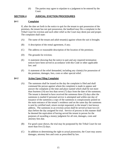(6) The parties may agree to stipulate to a judgment to be entered by the Court.

# <span id="page-17-0"></span>**SECTION 4 JUDICIAL EVICTION PROCEDURES**

#### **§4-1 Complaint**

If, after the date set forth in the notice to quit for the tenant to quit possession of the premises, the tenant has not quit possession, the landlord may file a complaint in the Tribal Court for eviction and such other relief as the Court may deem just and proper. The complaint shall state:

- (A) The name of the tenant and adult tenant(s) against whom the suit is brought;
- (B) A description of the rental agreement, if any;
- (C) The address or reasonable description of the location of the premises;
- (D) The grounds for eviction;
- (E) A statement showing that the notice to quit and any required termination notices have been served in accordance with this Code or other applicable law; and
- (F) A statement of the relief demanded, including any claim(s) for possession of the premises, damages, fees, costs or other special relief.

#### **§4-2 Action Upon Filing Complaint**

- (A) The summons shall be issued on the day the complaint is filed and shall command the person against whom the complaint is made to appear and answer the complaint at the time and place named which shall be not more than fourteen (14) nor less than seven (7) days from the date of the summons. The tenant is deemed to have received the summons three (3) days after the summons is mailed if personal service is attempted and within one day of issuance of the summons a copy of the summons is conspicuously posted on the main entrance of the tenant's residence and on the same day the summons is sent by certified mail, return receipt requested, to the tenant's last known address. The summons in an eviction action shall be served at least two (2) days before the day assigned for trial. Service of process in this manner shall be deemed the equivalent of having served the tenant in person for the purposes of awarding a money judgment for all rent, damages, costs and attorney fees due.
- (B) For good cause shown, the trial may be postponed by the Tribal Court for not more than five (5) days.
- (C) In addition to determining the right to actual possession, the Court may assess damages, attorney fees and costs as prescribed by law.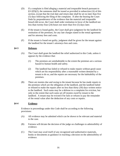- <span id="page-18-0"></span>(D) If a complaint is filed alleging a material and irreparable breach pursuant to  $§3-2(D)(2)$ , the summons shall be issued as provided in subsection (A) of this section, except that the trial date and return date shall be set no later than five (5) days following the filing of the complaint. If after the hearing the Court finds by preponderance of the evidence that the material and irreparable breach did occur, the Court shall order restitution in favor of the landlord not less than twenty-four (24) hours nor more than five (5) days later.
- (E) If the tenant is found guilty, the Court shall give judgment for the landlord for restitution of the premises, for any late charges stated in the rental agreement and for attorney fees and costs.
- (F) If the tenant is found not guilty, judgment shall be given for the tenant against the landlord for the tenant's attorneys fees and costs.

# **§4-3 Defenses**

- (A) The Court shall grant the landlord the relief authorized in this Code, unless it appears by the evidence that:
	- (1) The premises are uninhabitable to the extent the premises are a serious hazard to human health and safety.
	- (2) The landlord has failed or refused to make repairs without good cause which are his responsibility after a reasonable written demand by a tenant to do so, and the repairs are necessary for the habitability of the premises.
- (B) There are monies due and owing to the tenant because he has made repairs to the premises which are the obligation of the landlord, and the landlord failed or refused to make the repairs after no less than thirty (30) days written notice to the landlord. Such sums may be a defense to a complaint for eviction, but only to the extent that such sums set off monies owed by tenant to the landlord. A tenant may be evicted if he fails or refuses to pay the remainder of the rental value after the deduction of any costs or repairs.

# **§4-4 Evidence**

Evidence in proceedings under this Code shall be according to the following provisions:

- (A) All evidence may be admitted which can be shown to be relevant and material to the case.
- (B) Fairness will dictate the decision of the judge on challenges to admissibility of evidence.
- (C) The Court may avail itself of any recognized and authoritative materials, books or documents as guidance in reaching a decision on the admissibility of evidence.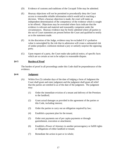- <span id="page-19-0"></span>(D) Evidence of customs and traditions of the Cocopah Tribe may be admitted.
- (E) Hearsay objections will not be permitted to procedurally deny the Court access to reasonable reliable information which would aid in reaching a decision. Where a hearsay objection is made, the court will make an independent determination of the competency of the evidence which is sought to be offered. Objections may be overruled where facts indicate that the evidence is relevant and material and reasonably competent under the circumstances. Hearsay evidence may be freely admitted where all parties to the out of Court statement are present before the Court and qualified to testify as to the statement made.
- (F) At the discretion of the Judge, evidence may be excluded if it's probative value is outweighed by the risk that in admission will create a substantial risk of undue prejudice; confusion mislead a jury or unfairly surprise the opposing party.
- (G) Upon request of a party, the Court make take judicial notice, of specific facts which are so certain as not to be subject to reasonable dispute.

# **§4-5 Burden of Proof**

The burden of proof in all proceedings under this Code shall be preponderance of the evidence.

# **§4-6 Judgment**

- (A) Within five (5) calendar days of the date of lodging a form of Judgment the Court shall grant and enter judgment and the judgment shall grant all relief that the parties are entitled to as of the date of the judgment. The judgment may:
	- (1) Order the immediate eviction of a tenant and delivery of the Premises to the landlord;
	- (2) Grant actual damages as provided in the agreement of the parties or this Code, including interest;
	- (3) Order the parties to carry out an obligation required by law;
	- (4) Establish a payment plan for the tenant;
	- (5) Order rent payments out of per capita payments or through garnishment, execution or attachment;
	- (6) Establish a Power of Attorney in another person/agency or fulfill rights or obligations of either landlord or tenant;
	- (7) Remediate the action in part or in whole;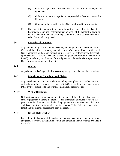- <span id="page-20-0"></span>(8) Order the payment of attorney s' fees and costs as authorized by law or agreement;
- (9) Order the parties into negotiations as provided in Section 1-3-4 of this Code; or
- (10) Grant any relief provided in this Code or allowed in law or equity.
- (B) If a tenant fails to appear in person or in writing on, or before, the date of hearing, the Court shall enter judgment on behalf of the landlord following a hearing to determine whether the requested relief should be granted and the relief that should be granted.

# **§4-7 Execution of Judgment**

Any judgment may be immediately executed, and the judgments and orders of the Court shall be enforced by a duly authorized law enforcement officer or officer of the Court, appointed by the Court for such purpose. Any law enforcement officer shall, upon receipt of an order of the Court, execute the judgment or order made by it within five (5) calendar days of the date of the judgment or order and make a report to the Court on what was done to enforce it.

# **§4-8 Appeals**

Appeals under this Chapter shall be according the general tribal appellate provisions.

# **§4-9 Miscellaneous Complaints and Claims**

Any miscellaneous complaint or claim including a complaint or claim by a tenant which does not fall within the procedures of this Code may be made under the general tribal civil procedure code and/or tribal small claims procedure code

# **§4-10 Writ of Restitution**

Unless otherwise specified in a judgment, a tenant shall have five (5) days from the entry of judgment to vacate the premises. If a tenant fails or refuses to vacate the premises within the time prescribed in the judgment or this section, the Tribal Court shall issue a writ of restitution directing the Cocopah Tribal Police to remove the tenant and the tenant's possessions from the premises.

# **§4-11 No Self-Help Eviction**

Except by mutual consent of the parties, no landlord may compel a tenant to vacate any premises without giving notice to quit, and obtaining a court order as provided in this Code.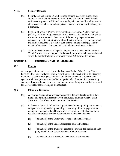# <span id="page-21-0"></span>**§4-12 Security Deposits**

- (A) Security Deposit Limits. A landlord may demand a security deposit of an amount equal to one-hundred dollars (\$100) or one month's periodic rent, whichever is greater. Additional security deposits may be allowed for special circumstances such as animals or pets or a tenant's history of prior damage to a premises.
- (B) Payment of Security Deposit at Termination of Tenancy. No later than ten (10) days after obtaining possession of the premises, the landlord shall pay to the tenant or former tenant the amount of the security deposit that was deposited by the tenant with the landlord less the value of any damages which the landlord incurred as a result of such tenant's failure to comply with the tenant's obligations. Damages shall not include normal wear and tear.
- (C) Action to Reclaim Security Deposit. Any tenant may bring a civil action in Tribal Court to reclaim any part of this security deposit which may be due and which the landlord refuses to return after seven (7) days written notice.

# **SECTION 5 MORTGAGE AND FORECLOSURE**

# **§5-1 Priority**

All mortgages field and recorded with the Bureau of Indian Affairs' Land Titles Records Office in accordance with the recording procedures set forth in this Chapter, including Leasehold Mortgages and loans guaranteed or held by a governmental agency, shall have priority over any lien not perfected at the time of such recording and any subsequent lien or claim except a lien or claim arising from a tribal leasehold tax assessed after the recording of the mortgage.

# **§5-2 Filing and Recording**

- (A) All mortgages and other necessary associated documents relating to Indian Land shall be filed and recorded with the Bureau of Indian Affairs' Land Titles Records Offices in Albuquerque, New Mexico.
- (B) In the event Cocopah Indian Housing and Development participates or acts as an agent in the application, processing or recording of a mortgage or other document, Cocopah Indian Housing and Development shall also maintain a log of each mortgage or other document recorded and shall enter:
	- (1) The name(s) of the Borrower/Mortgagor of each Mortgage;
	- (2) The name(s) of the Lender/Mortgagee of each Mortgage;
	- (3) The name(s) of the grantor(s), grantee(s), or other designation of each party named in any other documents filed or recorded;
	- (4) The date and time of receipt of the mortgage or document;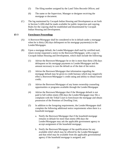- <span id="page-22-0"></span>(5) The filing number assigned by the Land Titles Records Offices; and
- (6) The name or the Supervisor, Manager or designee receiving the mortgage or document.
- (C) The log maintained by Cocopah Indian Housing and Development as set forth in Section 5-2(B) shall be made available for public inspection and copying. Rules for the copying shall be established and disseminated by Cocopah Indian Housing and Development.

#### **§5-3 Foreclosure Proceedings**

- (A) A Borrower/Mortgagor shall be considered to be in default under a mortgage when he is thirty (30) days delinquent on his mortgage payments(s) to the Lender/Mortgagee.
- (B) Upon a mortgage default, the Lender/Mortgagee shall mail by certified mail, return receipt requested a notice to the Borrower/Mortgagor, with a copy to Cocopah Indian Housing and Development, which shall include the following:
	- (1) Advise the Borrower/Mortgagor he or she is more than thirty (30) days delinquent on his mortgage payments to Lender/Mortgagee and the amount necessary to cure the default as of the date of the notice.
	- (2) Advise the Borrower/Mortgagor that information regarding the mortgage default may be given to credit bureaus which may negatively effect a Borrower/Mortgagor's credit rating and ability to obtain future credit;
	- (3) Advise the Borrower/Mortgagor of any home ownership counseling opportunities or programs available through the Lender/Mortgagee
	- (4) Advise the Borrower/Mortgagor that if the Mortgage default is not paid in full within ninety (90) days the Lender/Mortgagee may file a complaint with the Tribal Court to foreclosure the mortgage and obtain possession of the Premises of Dwelling Unit;
	- (5) In addition to the foregoing requirements, the Lender/Mortgagee shall complete the following additional notice requirements when there is a leasehold mortgage:
		- a. Notify the Borrower/Mortgagor that if the leasehold mortgage remains in default for more than ninety (90) days the Lender/Mortgagee may ask the applicable government agency to accept assignment of the leasehold mortgage;
		- b. Notify the Borrower/Mortgagor of the qualifications for any available relief which may be offered by the Lender/Mortgagee and that relief may be available from the applicable governmental agency if the leasehold mortgage is assigned; and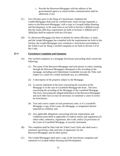- c. Provide the Borrower/Mortgagor with the address of the governmental agency to whom further communication shall be addressed, if any.
- <span id="page-23-0"></span>(C) Ten (10) days prior to the filing of a foreclosure complaint the Lender/Mortgagee shall mail by certified mail, return receipt requested, a notice to the Borrower/Mortgagor, with a copy to Cocopah Indian Housing and Development, in the same form as set forth in Section 5-3(B)(4) except that the ninety (90) days requirement set forth at Sections 5-3(B)(4) and 5-  $3(B)(5)(a)$  shall be replaced with ten  $(10)$  days.
- (D) If a Borrower/Mortgagor has been in default for ninety (90) days, or more, and the Lender/Mortgagee has complied with the requirements set forth in this Section, the Lender/Mortgagee may commence a foreclosure proceeding in the Tribal Court by filing a verified complaint as set forth in Section 5-4 of this Code.

#### **§5-4 Foreclosure Complaint and Summons**

- (A) The verified complaint in a mortgage foreclosure proceeding shall contain the following:
	- (1) The name of the Borrower/Mortgagor and each person or entity claiming through the Borrower/Mortgagor subsequent to the recording of the mortgage, including each Subordinate Lienholder (except the Tribe with respect to a claim for a tribal leasehold tax), as a defendant;
	- (2) A description of the property subject to the Mortgage;
	- (3) A concise statement of the facts concerning the execution of the Mortgage or in the case of Leasehold Mortgage the lease. The facts concerning the recording of the Mortgage of the Leasehold Mortgage. The facts concerning the alleged defaults(s) of the Borrower/Mortgagor and such other facts as may be necessary to constitute a cause of action for foreclosure;
	- (4) True and correct copies of each promissory note, or if a Leasehold Mortgage a copy of the Lease, the Mortgage, or assignment thereof (attached as exhibits); and
	- (5) Any applicable allegations concerning relevant requirements and conditions prescribed in applicable (1) federal statues and regulations (2) tribal codes, ordinance, regulations, this Code; and/or (3) provisions of the Lease of Leasehold Mortgage, or security instrument.
- (B) The complaint shall be filed with the Tribal Court Clerk who shall issue a summons specifying a date and time of appearance for the Borrower/Mortgagor and all other parties.
- (C) The Lender/Mortgagee shall mail a copy of the foreclosure complaint and summons to Cocopah Indian Housing and Development.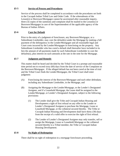# <span id="page-24-0"></span>**§5-5 Service of Process and Procedures**

Service of the process shall be completed in accordance with the procedures set forth in the Cocopah Indian Tribal Law and Order Code. If the whereabouts of the Lessee(s) or Borrower/Mortgagor cannot be ascertained after reasonable inquiry, three (3) copies of the summons and complaint shall be mailed to the Lessee(s) or Borrower/Mortgagor in care of the Superintendent of the applicable agency of the Bureau of Indian Affairs.

#### **§5-6 Cure for Default**

Prior to the entry of a judgment of foreclosure, any Borrower/Mortgagor, or a Subordinate Lienholder, may cure the default(s) under the Mortgage by making a full payment of the delinquency to the Lender/Mortgagee and all reasonable legal and Court costs incurred by the Lender/Mortgagee in foreclosing on the property. Any Subordinate Lienholder who has cured a default shall thereafter have included in its lien the amount of all payments made by such Subordinate Lienholder to cure the defaults(s), plus interest on such amounts at the rate in the note for the Mortgage.

#### **§5-7 Judgment and Remedy**

This matter shall be heard and decided by the Tribal Court in a prompt and reasonable time period not to exceed sixty (60) days from the date of service of the Complaint on the Borrower/Mortgagor. If the alleged default has not been cured at the time of trial and the Tribal Court finds the Lender/Mortgagee, the Tribal Court shall enter judgment:

- (A) Foreclosing the interest of the Borrower/Mortgagor and each other defendant, including any Subordinate Lienholder, in the Mortgage, and
- (B) Assigning the Mortgage to the Lender/Mortgage, or the Lender's Designated Assignee, and if a Leasehold Mortgage, the Lease shall be assigned to the Lender/Mortgage, or Lender's Designated Assignee, subject to the following provisions:
	- (1) The Lender shall give the Tribe and Cocopah Indian Housing and Development a right of first refusal on any offer to the Lender or Lender's Designated Assignee to purchase the Mortgage, Lease or Leasehold Mortgage, or the collateral secured thereby. The Tribe or Cocopah Indian Housing and Development shall have thirty (30) days from the receipt of a valid offer to exercise the right of first refusal.
	- (2) The Lender of Lender's Designated Assignee may only transfer, sell or assign the Mortgage, Lease or Leasehold Mortgage or the collateral secured thereby to a Tribal member, the Tribe or Cocopah Indian Housing Development.

# **§5-8 No Right of Redemption**

There shall be no right of redemption in a mortgage foreclosure proceeding.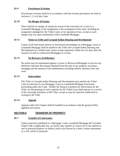#### <span id="page-25-0"></span>**§5-9 Foreclosure Evictions**

Foreclosure evictions shall be in accordance with the eviction procedures set forth in Sections 2, 3, 4 of this Code.

#### **§5-10 No Merger of Estates**

There shall be no merger of estates by reason of the execution of a Lease or a Leasehold Mortgage or the assignment or the assumption of the same, including an assignment adjudged by the Tribal Court, or by operation of law, except as such merger may rise upon satisfaction of the Leasehold Mortgage.

#### **§5-11 Notice to Tribe and Cocopah Indian Housing and Development**

Copies of all foreclosure notices or foreclosure proceedings on a Mortgage, Lease or Leasehold Mortgage shall be mailed to the Tribe and Cocopah Indian Housing and Development by certified mail, return receipt requested, within five (5) days after the issuance of such to a Borrower/Mortgagee or Lessee.

# **§5-12 No Recovery of Deficiency**

No action may be maintained against a Lessor or Borrower/Mortgagor to recover any deficiency between the amount obtained from the sale of any property securing a mortgage and the amount of the indebtedness including interest, attorneys fees and costs.

#### **§5-13 Intervention**

The Tribe or Cocopah Indian Housing and Development may petition the Tribal Court to intervene in any Mortgage, Lease or Leasehold Mortgage foreclosure proceeding under this Code. Neither the filing of a petition for intervention by the Tribe, nor the granting of such a petition by the Tribal Court shall operate as a waiver of the sovereign immunity of the Tribe, except as may be expressly authorized in writing by the Tribe.

#### **§5-14 Appeals**

Appeals under this Chapter shall be handled in accordance with the general tribal appellate provisions.

# **SECTION 6 TRANSFER OF PROPERTY**

#### **§6-1 Transfer of Conveyance**

Unless expressly prohibited in a Mortgage, Lease, Leasehold Mortgage the Cocopah Tribal Code or applicable law, an Owner may transfer or convey his or her interest in real or personal property on Indian Land to any Person by a deed, written instrument or a will, which is notarized.